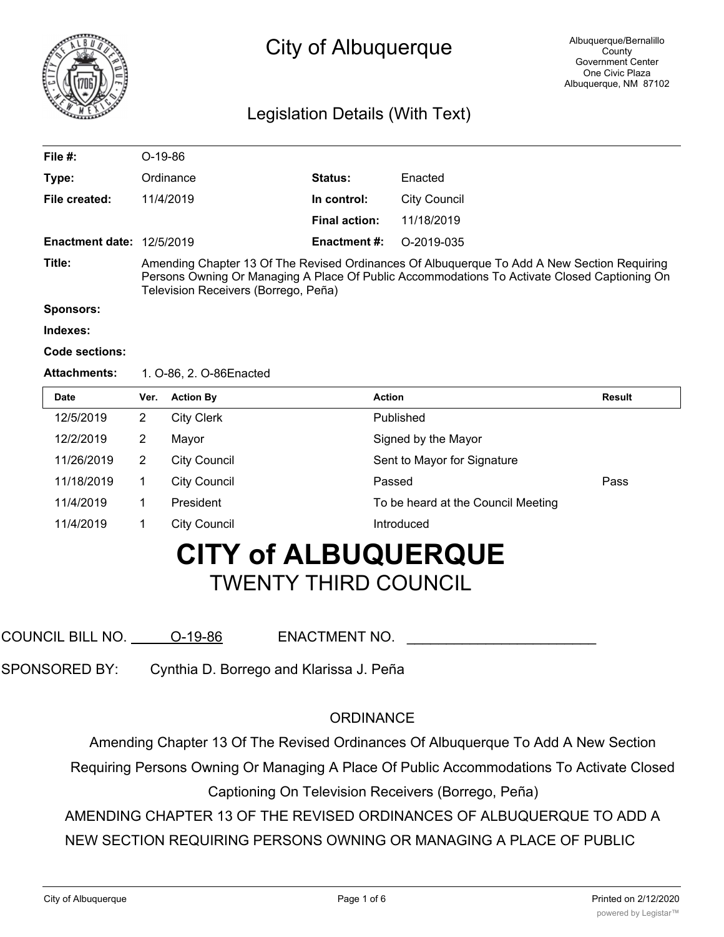

## City of Albuquerque

### Legislation Details (With Text)

| File #:                          | $O-19-86$                                                                                                                                                                                                                           |                      |              |  |  |
|----------------------------------|-------------------------------------------------------------------------------------------------------------------------------------------------------------------------------------------------------------------------------------|----------------------|--------------|--|--|
| Type:                            | Ordinance                                                                                                                                                                                                                           | <b>Status:</b>       | Enacted      |  |  |
| File created:                    | 11/4/2019                                                                                                                                                                                                                           | In control:          | City Council |  |  |
|                                  |                                                                                                                                                                                                                                     | <b>Final action:</b> | 11/18/2019   |  |  |
| <b>Enactment date: 12/5/2019</b> |                                                                                                                                                                                                                                     | <b>Enactment #:</b>  | O-2019-035   |  |  |
| Title:                           | Amending Chapter 13 Of The Revised Ordinances Of Albuquerque To Add A New Section Requiring<br>Persons Owning Or Managing A Place Of Public Accommodations To Activate Closed Captioning On<br>Television Receivers (Borrego, Peña) |                      |              |  |  |
| <b>Sponsors:</b>                 |                                                                                                                                                                                                                                     |                      |              |  |  |
| Indexes:                         |                                                                                                                                                                                                                                     |                      |              |  |  |
| Code sections:                   |                                                                                                                                                                                                                                     |                      |              |  |  |

#### **Attachments:** 1. O-86, 2. O-86Enacted

| <b>Date</b> | Ver. | <b>Action By</b>    | <b>Action</b>                      | <b>Result</b> |
|-------------|------|---------------------|------------------------------------|---------------|
| 12/5/2019   | 2    | <b>City Clerk</b>   | Published                          |               |
| 12/2/2019   | 2    | Mayor               | Signed by the Mayor                |               |
| 11/26/2019  | 2    | <b>City Council</b> | Sent to Mayor for Signature        |               |
| 11/18/2019  |      | <b>City Council</b> | Passed                             | Pass          |
| 11/4/2019   |      | President           | To be heard at the Council Meeting |               |
| 11/4/2019   |      | <b>City Council</b> | Introduced                         |               |

# **CITY of ALBUQUERQUE** TWENTY THIRD COUNCIL

COUNCIL BILL NO. <u>O-19-86</u> ENACTMENT NO.

SPONSORED BY: Cynthia D. Borrego and Klarissa J. Peña

### **ORDINANCE**

Amending Chapter 13 Of The Revised Ordinances Of Albuquerque To Add A New Section

Requiring Persons Owning Or Managing A Place Of Public Accommodations To Activate Closed Captioning On Television Receivers (Borrego, Peña)

AMENDING CHAPTER 13 OF THE REVISED ORDINANCES OF ALBUQUERQUE TO ADD A

NEW SECTION REQUIRING PERSONS OWNING OR MANAGING A PLACE OF PUBLIC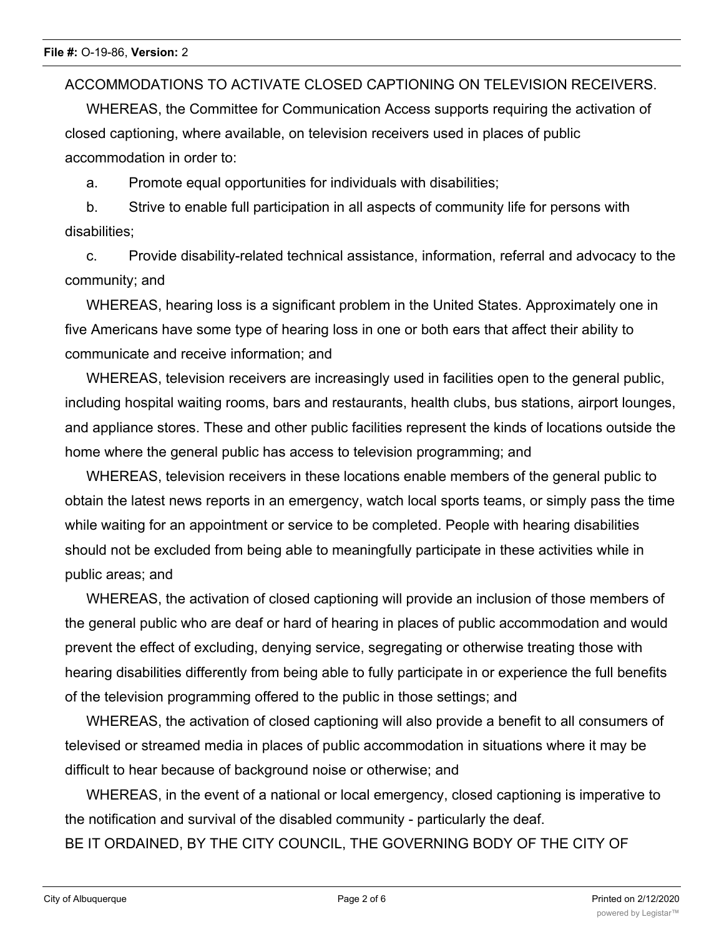ACCOMMODATIONS TO ACTIVATE CLOSED CAPTIONING ON TELEVISION RECEIVERS.

WHEREAS, the Committee for Communication Access supports requiring the activation of closed captioning, where available, on television receivers used in places of public accommodation in order to:

a. Promote equal opportunities for individuals with disabilities;

b. Strive to enable full participation in all aspects of community life for persons with disabilities;

c. Provide disability-related technical assistance, information, referral and advocacy to the community; and

WHEREAS, hearing loss is a significant problem in the United States. Approximately one in five Americans have some type of hearing loss in one or both ears that affect their ability to communicate and receive information; and

WHEREAS, television receivers are increasingly used in facilities open to the general public, including hospital waiting rooms, bars and restaurants, health clubs, bus stations, airport lounges, and appliance stores. These and other public facilities represent the kinds of locations outside the home where the general public has access to television programming; and

WHEREAS, television receivers in these locations enable members of the general public to obtain the latest news reports in an emergency, watch local sports teams, or simply pass the time while waiting for an appointment or service to be completed. People with hearing disabilities should not be excluded from being able to meaningfully participate in these activities while in public areas; and

WHEREAS, the activation of closed captioning will provide an inclusion of those members of the general public who are deaf or hard of hearing in places of public accommodation and would prevent the effect of excluding, denying service, segregating or otherwise treating those with hearing disabilities differently from being able to fully participate in or experience the full benefits of the television programming offered to the public in those settings; and

WHEREAS, the activation of closed captioning will also provide a benefit to all consumers of televised or streamed media in places of public accommodation in situations where it may be difficult to hear because of background noise or otherwise; and

WHEREAS, in the event of a national or local emergency, closed captioning is imperative to the notification and survival of the disabled community - particularly the deaf.

BE IT ORDAINED, BY THE CITY COUNCIL, THE GOVERNING BODY OF THE CITY OF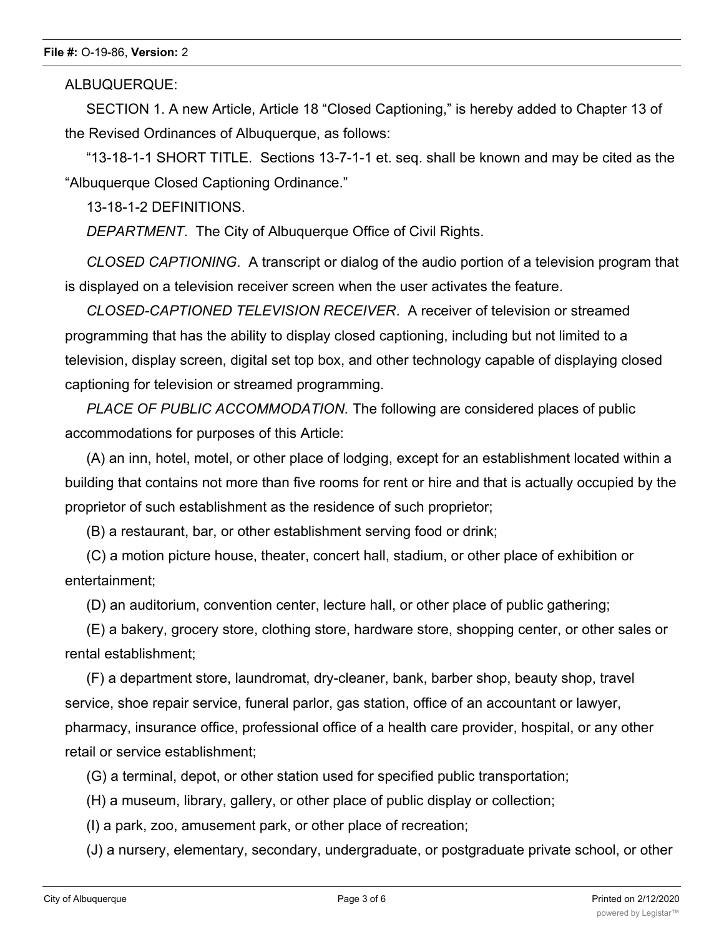### **File #:** O-19-86, **Version:** 2

ALBUQUERQUE:

SECTION 1. A new Article, Article 18 "Closed Captioning," is hereby added to Chapter 13 of the Revised Ordinances of Albuquerque, as follows:

"13-18-1-1 SHORT TITLE. Sections 13-7-1-1 et. seq. shall be known and may be cited as the "Albuquerque Closed Captioning Ordinance."

13-18-1-2 DEFINITIONS.

*DEPARTMENT*. The City of Albuquerque Office of Civil Rights.

*CLOSED CAPTIONING*. A transcript or dialog of the audio portion of a television program that is displayed on a television receiver screen when the user activates the feature.

*CLOSED-CAPTIONED TELEVISION RECEIVER*. A receiver of television or streamed programming that has the ability to display closed captioning, including but not limited to a television, display screen, digital set top box, and other technology capable of displaying closed captioning for television or streamed programming.

*PLACE OF PUBLIC ACCOMMODATION.* The following are considered places of public accommodations for purposes of this Article:

(A) an inn, hotel, motel, or other place of lodging, except for an establishment located within a building that contains not more than five rooms for rent or hire and that is actually occupied by the proprietor of such establishment as the residence of such proprietor;

(B) a restaurant, bar, or other establishment serving food or drink;

(C) a motion picture house, theater, concert hall, stadium, or other place of exhibition or entertainment;

(D) an auditorium, convention center, lecture hall, or other place of public gathering;

(E) a bakery, grocery store, clothing store, hardware store, shopping center, or other sales or rental establishment;

(F) a department store, laundromat, dry-cleaner, bank, barber shop, beauty shop, travel service, shoe repair service, funeral parlor, gas station, office of an accountant or lawyer, pharmacy, insurance office, professional office of a health care provider, hospital, or any other retail or service establishment;

(G) a terminal, depot, or other station used for specified public transportation;

(H) a museum, library, gallery, or other place of public display or collection;

(I) a park, zoo, amusement park, or other place of recreation;

(J) a nursery, elementary, secondary, undergraduate, or postgraduate private school, or other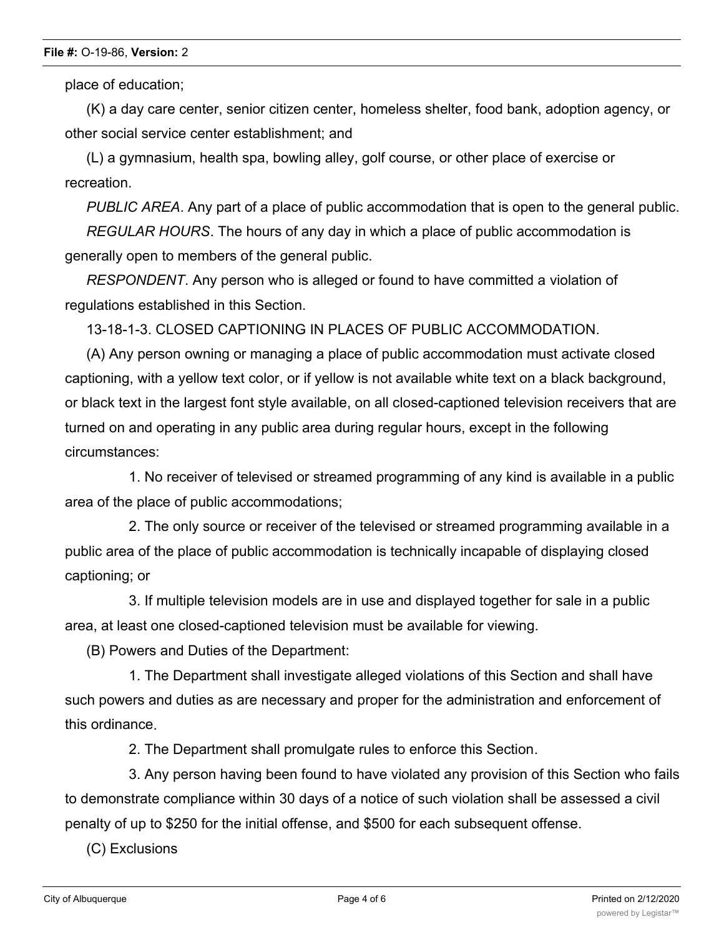place of education;

(K) a day care center, senior citizen center, homeless shelter, food bank, adoption agency, or other social service center establishment; and

(L) a gymnasium, health spa, bowling alley, golf course, or other place of exercise or recreation.

*PUBLIC AREA*. Any part of a place of public accommodation that is open to the general public.

*REGULAR HOURS*. The hours of any day in which a place of public accommodation is generally open to members of the general public.

*RESPONDENT*. Any person who is alleged or found to have committed a violation of regulations established in this Section.

13-18-1-3. CLOSED CAPTIONING IN PLACES OF PUBLIC ACCOMMODATION.

(A) Any person owning or managing a place of public accommodation must activate closed captioning, with a yellow text color, or if yellow is not available white text on a black background, or black text in the largest font style available, on all closed-captioned television receivers that are turned on and operating in any public area during regular hours, except in the following circumstances:

1. No receiver of televised or streamed programming of any kind is available in a public area of the place of public accommodations;

2. The only source or receiver of the televised or streamed programming available in a public area of the place of public accommodation is technically incapable of displaying closed captioning; or

3. If multiple television models are in use and displayed together for sale in a public area, at least one closed-captioned television must be available for viewing.

(B) Powers and Duties of the Department:

1. The Department shall investigate alleged violations of this Section and shall have such powers and duties as are necessary and proper for the administration and enforcement of this ordinance.

2. The Department shall promulgate rules to enforce this Section.

3. Any person having been found to have violated any provision of this Section who fails to demonstrate compliance within 30 days of a notice of such violation shall be assessed a civil penalty of up to \$250 for the initial offense, and \$500 for each subsequent offense.

(C) Exclusions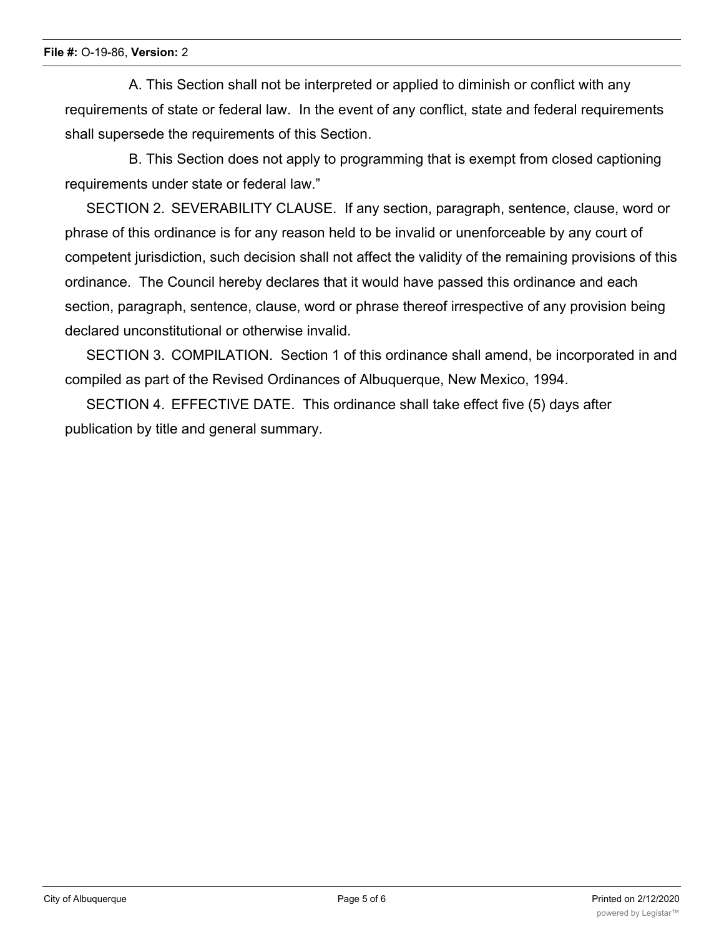#### **File #:** O-19-86, **Version:** 2

A. This Section shall not be interpreted or applied to diminish or conflict with any requirements of state or federal law. In the event of any conflict, state and federal requirements shall supersede the requirements of this Section.

B. This Section does not apply to programming that is exempt from closed captioning requirements under state or federal law."

SECTION 2. SEVERABILITY CLAUSE. If any section, paragraph, sentence, clause, word or phrase of this ordinance is for any reason held to be invalid or unenforceable by any court of competent jurisdiction, such decision shall not affect the validity of the remaining provisions of this ordinance. The Council hereby declares that it would have passed this ordinance and each section, paragraph, sentence, clause, word or phrase thereof irrespective of any provision being declared unconstitutional or otherwise invalid.

SECTION 3. COMPILATION. Section 1 of this ordinance shall amend, be incorporated in and compiled as part of the Revised Ordinances of Albuquerque, New Mexico, 1994.

SECTION 4. EFFECTIVE DATE. This ordinance shall take effect five (5) days after publication by title and general summary.